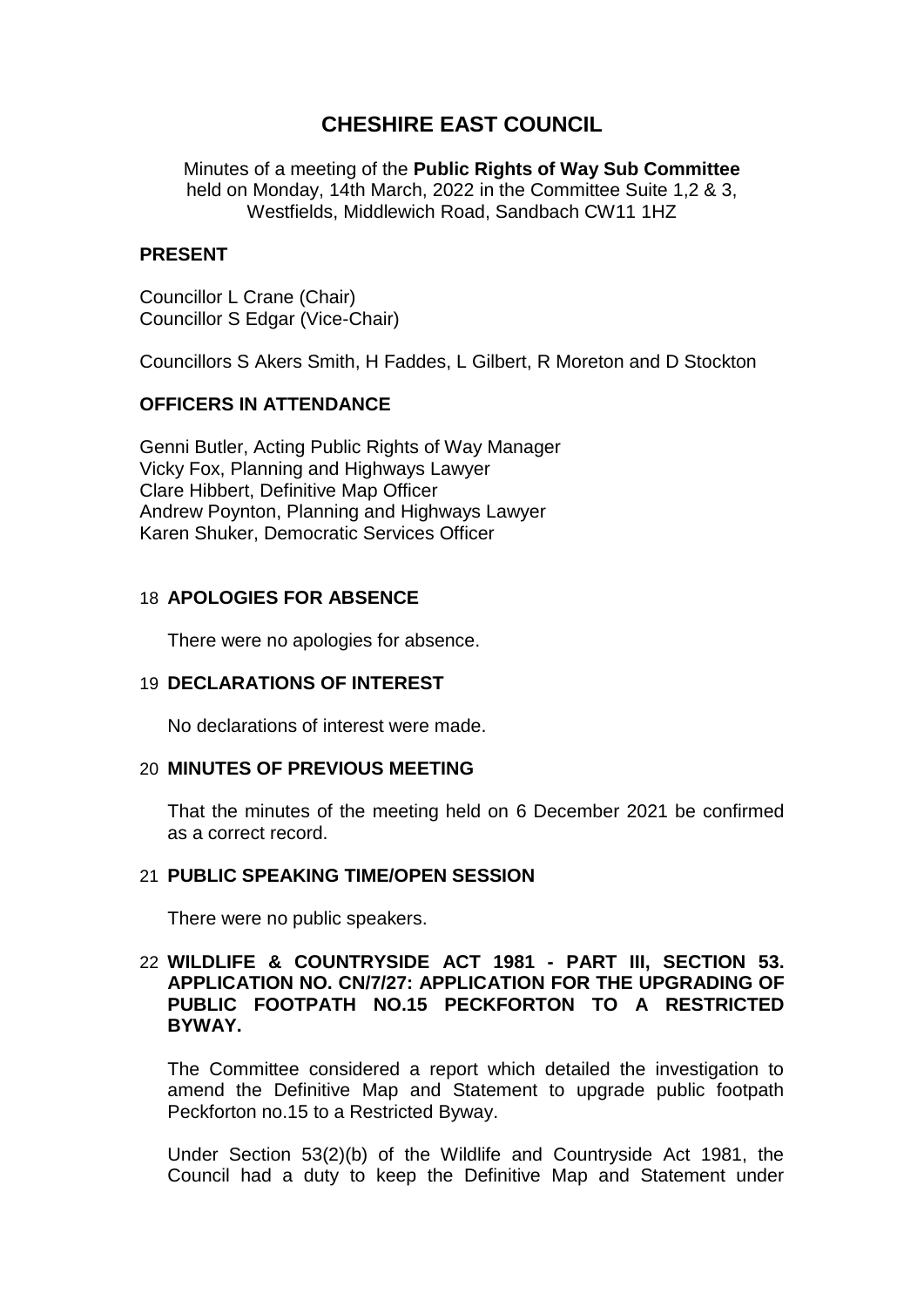# **CHESHIRE EAST COUNCIL**

Minutes of a meeting of the **Public Rights of Way Sub Committee** held on Monday, 14th March, 2022 in the Committee Suite 1,2 & 3, Westfields, Middlewich Road, Sandbach CW11 1HZ

### **PRESENT**

Councillor L Crane (Chair) Councillor S Edgar (Vice-Chair)

Councillors S Akers Smith, H Faddes, L Gilbert, R Moreton and D Stockton

# **OFFICERS IN ATTENDANCE**

Genni Butler, Acting Public Rights of Way Manager Vicky Fox, Planning and Highways Lawyer Clare Hibbert, Definitive Map Officer Andrew Poynton, Planning and Highways Lawyer Karen Shuker, Democratic Services Officer

# 18 **APOLOGIES FOR ABSENCE**

There were no apologies for absence.

# 19 **DECLARATIONS OF INTEREST**

No declarations of interest were made.

#### 20 **MINUTES OF PREVIOUS MEETING**

That the minutes of the meeting held on 6 December 2021 be confirmed as a correct record.

## 21 **PUBLIC SPEAKING TIME/OPEN SESSION**

There were no public speakers.

## 22 **WILDLIFE & COUNTRYSIDE ACT 1981 - PART III, SECTION 53. APPLICATION NO. CN/7/27: APPLICATION FOR THE UPGRADING OF PUBLIC FOOTPATH NO.15 PECKFORTON TO A RESTRICTED BYWAY.**

The Committee considered a report which detailed the investigation to amend the Definitive Map and Statement to upgrade public footpath Peckforton no.15 to a Restricted Byway.

Under Section 53(2)(b) of the Wildlife and Countryside Act 1981, the Council had a duty to keep the Definitive Map and Statement under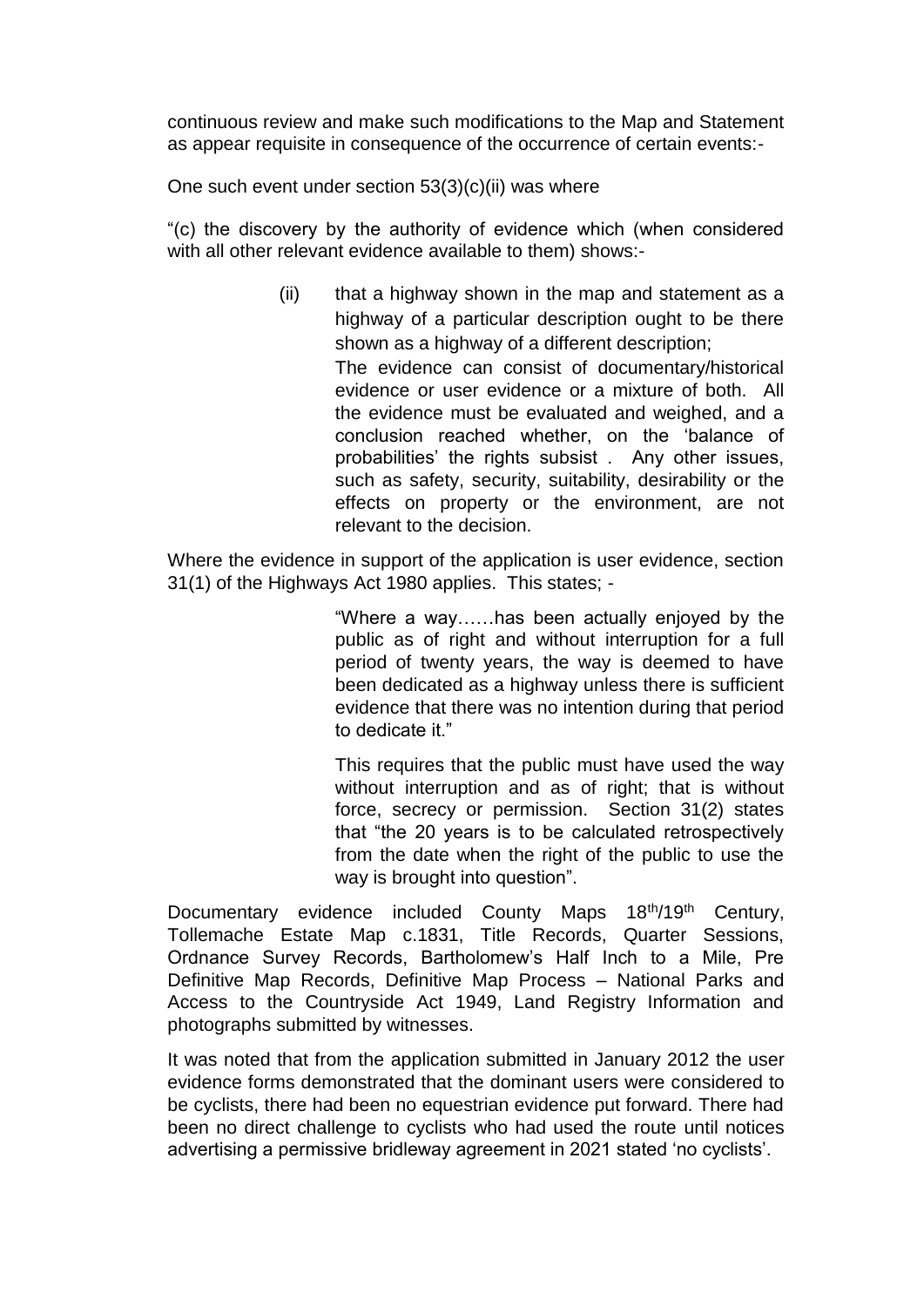continuous review and make such modifications to the Map and Statement as appear requisite in consequence of the occurrence of certain events:-

One such event under section 53(3)(c)(ii) was where

"(c) the discovery by the authority of evidence which (when considered with all other relevant evidence available to them) shows:-

> (ii) that a highway shown in the map and statement as a highway of a particular description ought to be there shown as a highway of a different description; The evidence can consist of documentary/historical evidence or user evidence or a mixture of both. All the evidence must be evaluated and weighed, and a conclusion reached whether, on the 'balance of probabilities' the rights subsist . Any other issues, such as safety, security, suitability, desirability or the effects on property or the environment, are not relevant to the decision.

Where the evidence in support of the application is user evidence, section 31(1) of the Highways Act 1980 applies. This states; -

> "Where a way……has been actually enjoyed by the public as of right and without interruption for a full period of twenty years, the way is deemed to have been dedicated as a highway unless there is sufficient evidence that there was no intention during that period to dedicate it."

> This requires that the public must have used the way without interruption and as of right; that is without force, secrecy or permission. Section 31(2) states that "the 20 years is to be calculated retrospectively from the date when the right of the public to use the way is brought into question".

Documentary evidence included County Maps 18<sup>th</sup>/19<sup>th</sup> Century, Tollemache Estate Map c.1831, Title Records, Quarter Sessions, Ordnance Survey Records, Bartholomew's Half Inch to a Mile, Pre Definitive Map Records, Definitive Map Process – National Parks and Access to the Countryside Act 1949, Land Registry Information and photographs submitted by witnesses.

It was noted that from the application submitted in January 2012 the user evidence forms demonstrated that the dominant users were considered to be cyclists, there had been no equestrian evidence put forward. There had been no direct challenge to cyclists who had used the route until notices advertising a permissive bridleway agreement in 2021 stated 'no cyclists'.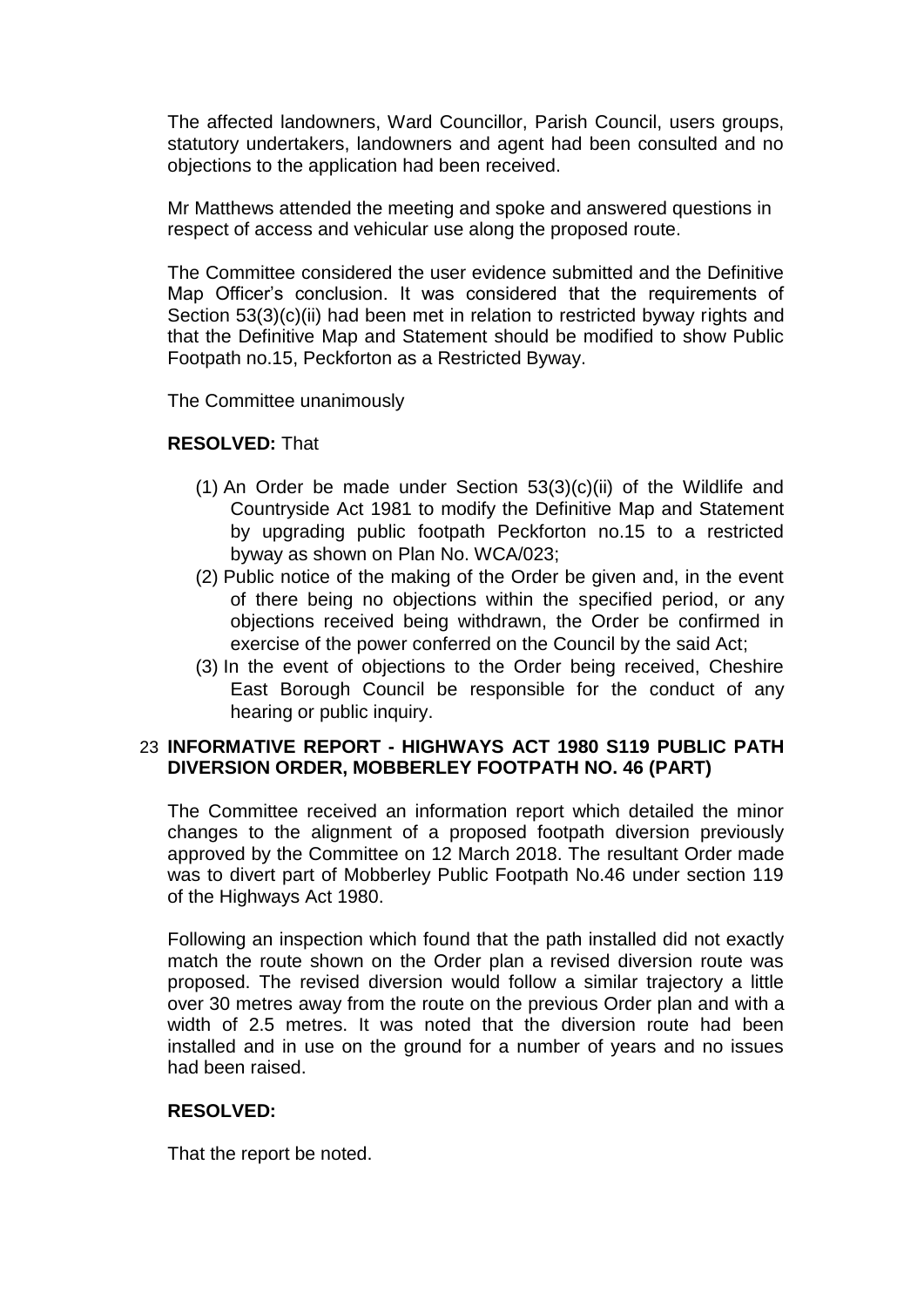The affected landowners, Ward Councillor, Parish Council, users groups, statutory undertakers, landowners and agent had been consulted and no objections to the application had been received.

Mr Matthews attended the meeting and spoke and answered questions in respect of access and vehicular use along the proposed route.

The Committee considered the user evidence submitted and the Definitive Map Officer's conclusion. It was considered that the requirements of Section 53(3)(c)(ii) had been met in relation to restricted byway rights and that the Definitive Map and Statement should be modified to show Public Footpath no.15, Peckforton as a Restricted Byway.

The Committee unanimously

#### **RESOLVED:** That

- (1) An Order be made under Section  $53(3)(c)(ii)$  of the Wildlife and Countryside Act 1981 to modify the Definitive Map and Statement by upgrading public footpath Peckforton no.15 to a restricted byway as shown on Plan No. WCA/023;
- (2) Public notice of the making of the Order be given and, in the event of there being no objections within the specified period, or any objections received being withdrawn, the Order be confirmed in exercise of the power conferred on the Council by the said Act;
- (3) In the event of objections to the Order being received, Cheshire East Borough Council be responsible for the conduct of any hearing or public inquiry.

## 23 **INFORMATIVE REPORT - HIGHWAYS ACT 1980 S119 PUBLIC PATH DIVERSION ORDER, MOBBERLEY FOOTPATH NO. 46 (PART)**

The Committee received an information report which detailed the minor changes to the alignment of a proposed footpath diversion previously approved by the Committee on 12 March 2018. The resultant Order made was to divert part of Mobberley Public Footpath No.46 under section 119 of the Highways Act 1980.

Following an inspection which found that the path installed did not exactly match the route shown on the Order plan a revised diversion route was proposed. The revised diversion would follow a similar trajectory a little over 30 metres away from the route on the previous Order plan and with a width of 2.5 metres. It was noted that the diversion route had been installed and in use on the ground for a number of years and no issues had been raised.

#### **RESOLVED:**

That the report be noted.